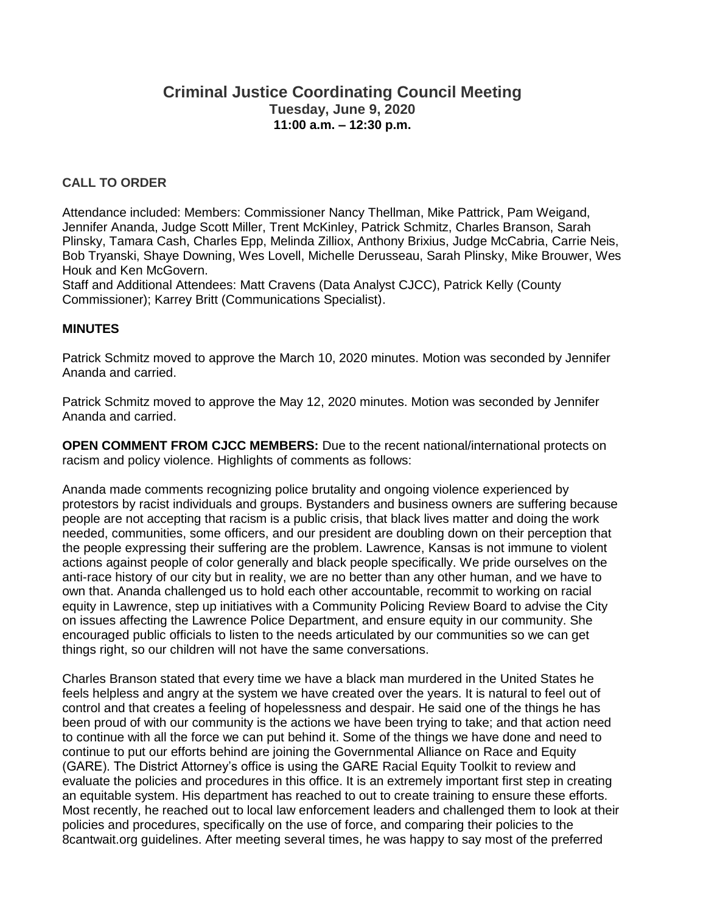# **Criminal Justice Coordinating Council Meeting Tuesday, June 9, 2020 11:00 a.m. – 12:30 p.m.**

### **CALL TO ORDER**

Attendance included: Members: Commissioner Nancy Thellman, Mike Pattrick, Pam Weigand, Jennifer Ananda, Judge Scott Miller, Trent McKinley, Patrick Schmitz, Charles Branson, Sarah Plinsky, Tamara Cash, Charles Epp, Melinda Zilliox, Anthony Brixius, Judge McCabria, Carrie Neis, Bob Tryanski, Shaye Downing, Wes Lovell, Michelle Derusseau, Sarah Plinsky, Mike Brouwer, Wes Houk and Ken McGovern.

Staff and Additional Attendees: Matt Cravens (Data Analyst CJCC), Patrick Kelly (County Commissioner); Karrey Britt (Communications Specialist).

### **MINUTES**

Patrick Schmitz moved to approve the March 10, 2020 minutes. Motion was seconded by Jennifer Ananda and carried.

Patrick Schmitz moved to approve the May 12, 2020 minutes. Motion was seconded by Jennifer Ananda and carried.

**OPEN COMMENT FROM CJCC MEMBERS:** Due to the recent national/international protects on racism and policy violence. Highlights of comments as follows:

Ananda made comments recognizing police brutality and ongoing violence experienced by protestors by racist individuals and groups. Bystanders and business owners are suffering because people are not accepting that racism is a public crisis, that black lives matter and doing the work needed, communities, some officers, and our president are doubling down on their perception that the people expressing their suffering are the problem. Lawrence, Kansas is not immune to violent actions against people of color generally and black people specifically. We pride ourselves on the anti-race history of our city but in reality, we are no better than any other human, and we have to own that. Ananda challenged us to hold each other accountable, recommit to working on racial equity in Lawrence, step up initiatives with a Community Policing Review Board to advise the City on issues affecting the Lawrence Police Department, and ensure equity in our community. She encouraged public officials to listen to the needs articulated by our communities so we can get things right, so our children will not have the same conversations.

Charles Branson stated that every time we have a black man murdered in the United States he feels helpless and angry at the system we have created over the years. It is natural to feel out of control and that creates a feeling of hopelessness and despair. He said one of the things he has been proud of with our community is the actions we have been trying to take; and that action need to continue with all the force we can put behind it. Some of the things we have done and need to continue to put our efforts behind are joining the Governmental Alliance on Race and Equity (GARE). The District Attorney's office is using the GARE Racial Equity Toolkit to review and evaluate the policies and procedures in this office. It is an extremely important first step in creating an equitable system. His department has reached to out to create training to ensure these efforts. Most recently, he reached out to local law enforcement leaders and challenged them to look at their policies and procedures, specifically on the use of force, and comparing their policies to the 8cantwait.org guidelines. After meeting several times, he was happy to say most of the preferred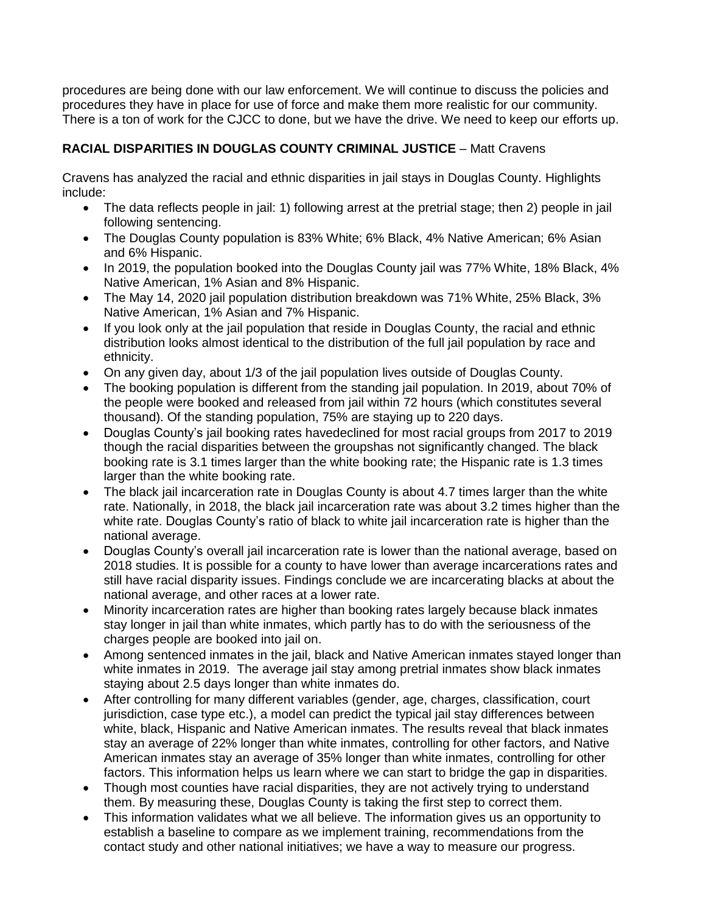procedures are being done with our law enforcement. We will continue to discuss the policies and procedures they have in place for use of force and make them more realistic for our community. There is a ton of work for the CJCC to done, but we have the drive. We need to keep our efforts up.

# **RACIAL DISPARITIES IN DOUGLAS COUNTY CRIMINAL JUSTICE** – Matt Cravens

Cravens has analyzed the racial and ethnic disparities in jail stays in Douglas County. Highlights include:

- The data reflects people in jail: 1) following arrest at the pretrial stage; then 2) people in jail following sentencing.
- The Douglas County population is 83% White; 6% Black, 4% Native American; 6% Asian and 6% Hispanic.
- In 2019, the population booked into the Douglas County jail was 77% White, 18% Black, 4% Native American, 1% Asian and 8% Hispanic.
- The May 14, 2020 jail population distribution breakdown was 71% White, 25% Black, 3% Native American, 1% Asian and 7% Hispanic.
- If you look only at the jail population that reside in Douglas County, the racial and ethnic distribution looks almost identical to the distribution of the full jail population by race and ethnicity.
- On any given day, about 1/3 of the jail population lives outside of Douglas County.
- The booking population is different from the standing jail population. In 2019, about 70% of the people were booked and released from jail within 72 hours (which constitutes several thousand). Of the standing population, 75% are staying up to 220 days.
- Douglas County's jail booking rates havedeclined for most racial groups from 2017 to 2019 though the racial disparities between the groupshas not significantly changed. The black booking rate is 3.1 times larger than the white booking rate; the Hispanic rate is 1.3 times larger than the white booking rate.
- The black jail incarceration rate in Douglas County is about 4.7 times larger than the white rate. Nationally, in 2018, the black jail incarceration rate was about 3.2 times higher than the white rate. Douglas County's ratio of black to white jail incarceration rate is higher than the national average.
- Douglas County's overall jail incarceration rate is lower than the national average, based on 2018 studies. It is possible for a county to have lower than average incarcerations rates and still have racial disparity issues. Findings conclude we are incarcerating blacks at about the national average, and other races at a lower rate.
- Minority incarceration rates are higher than booking rates largely because black inmates stay longer in jail than white inmates, which partly has to do with the seriousness of the charges people are booked into jail on.
- Among sentenced inmates in the jail, black and Native American inmates stayed longer than white inmates in 2019. The average jail stay among pretrial inmates show black inmates staying about 2.5 days longer than white inmates do.
- After controlling for many different variables (gender, age, charges, classification, court jurisdiction, case type etc.), a model can predict the typical jail stay differences between white, black, Hispanic and Native American inmates. The results reveal that black inmates stay an average of 22% longer than white inmates, controlling for other factors, and Native American inmates stay an average of 35% longer than white inmates, controlling for other factors. This information helps us learn where we can start to bridge the gap in disparities.
- Though most counties have racial disparities, they are not actively trying to understand them. By measuring these, Douglas County is taking the first step to correct them.
- This information validates what we all believe. The information gives us an opportunity to establish a baseline to compare as we implement training, recommendations from the contact study and other national initiatives; we have a way to measure our progress.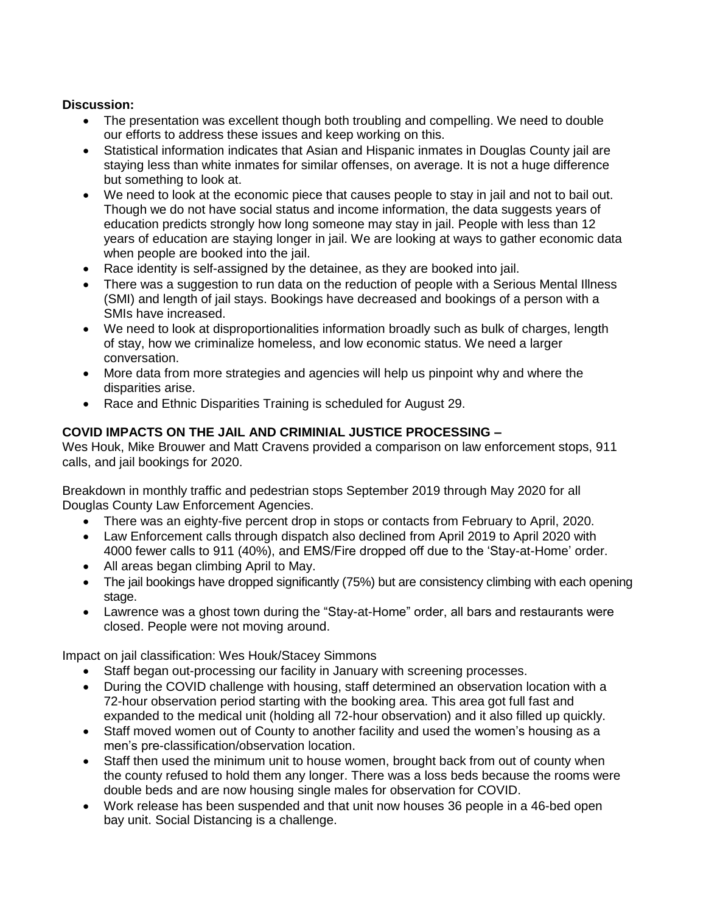## **Discussion:**

- The presentation was excellent though both troubling and compelling. We need to double our efforts to address these issues and keep working on this.
- Statistical information indicates that Asian and Hispanic inmates in Douglas County jail are staying less than white inmates for similar offenses, on average. It is not a huge difference but something to look at.
- We need to look at the economic piece that causes people to stay in jail and not to bail out. Though we do not have social status and income information, the data suggests years of education predicts strongly how long someone may stay in jail. People with less than 12 years of education are staying longer in jail. We are looking at ways to gather economic data when people are booked into the jail.
- Race identity is self-assigned by the detainee, as they are booked into jail.
- There was a suggestion to run data on the reduction of people with a Serious Mental Illness (SMI) and length of jail stays. Bookings have decreased and bookings of a person with a SMIs have increased.
- We need to look at disproportionalities information broadly such as bulk of charges, length of stay, how we criminalize homeless, and low economic status. We need a larger conversation.
- More data from more strategies and agencies will help us pinpoint why and where the disparities arise.
- Race and Ethnic Disparities Training is scheduled for August 29.

# **COVID IMPACTS ON THE JAIL AND CRIMINIAL JUSTICE PROCESSING –**

Wes Houk, Mike Brouwer and Matt Cravens provided a comparison on law enforcement stops, 911 calls, and jail bookings for 2020.

Breakdown in monthly traffic and pedestrian stops September 2019 through May 2020 for all Douglas County Law Enforcement Agencies.

- There was an eighty-five percent drop in stops or contacts from February to April, 2020.
- Law Enforcement calls through dispatch also declined from April 2019 to April 2020 with 4000 fewer calls to 911 (40%), and EMS/Fire dropped off due to the 'Stay-at-Home' order.
- All areas began climbing April to May.
- The jail bookings have dropped significantly (75%) but are consistency climbing with each opening stage.
- Lawrence was a ghost town during the "Stay-at-Home" order, all bars and restaurants were closed. People were not moving around.

Impact on jail classification: Wes Houk/Stacey Simmons

- Staff began out-processing our facility in January with screening processes.
- During the COVID challenge with housing, staff determined an observation location with a 72-hour observation period starting with the booking area. This area got full fast and expanded to the medical unit (holding all 72-hour observation) and it also filled up quickly.
- Staff moved women out of County to another facility and used the women's housing as a men's pre-classification/observation location.
- Staff then used the minimum unit to house women, brought back from out of county when the county refused to hold them any longer. There was a loss beds because the rooms were double beds and are now housing single males for observation for COVID.
- Work release has been suspended and that unit now houses 36 people in a 46-bed open bay unit. Social Distancing is a challenge.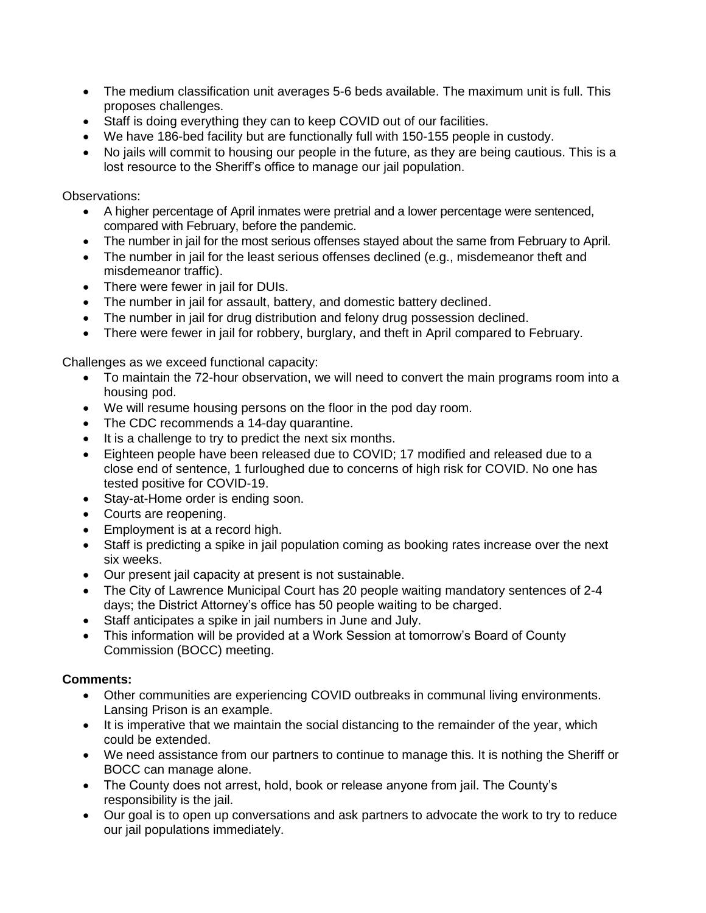- The medium classification unit averages 5-6 beds available. The maximum unit is full. This proposes challenges.
- Staff is doing everything they can to keep COVID out of our facilities.
- We have 186-bed facility but are functionally full with 150-155 people in custody.
- No jails will commit to housing our people in the future, as they are being cautious. This is a lost resource to the Sheriff's office to manage our jail population.

Observations:

- A higher percentage of April inmates were pretrial and a lower percentage were sentenced, compared with February, before the pandemic.
- The number in jail for the most serious offenses stayed about the same from February to April.
- The number in jail for the least serious offenses declined (e.g., misdemeanor theft and misdemeanor traffic).
- There were fewer in jail for DUIs.
- The number in jail for assault, battery, and domestic battery declined.
- The number in jail for drug distribution and felony drug possession declined.
- There were fewer in jail for robbery, burglary, and theft in April compared to February.

Challenges as we exceed functional capacity:

- To maintain the 72-hour observation, we will need to convert the main programs room into a housing pod.
- We will resume housing persons on the floor in the pod day room.
- The CDC recommends a 14-day quarantine.
- It is a challenge to try to predict the next six months.
- Eighteen people have been released due to COVID; 17 modified and released due to a close end of sentence, 1 furloughed due to concerns of high risk for COVID. No one has tested positive for COVID-19.
- Stay-at-Home order is ending soon.
- Courts are reopening.
- Employment is at a record high.
- Staff is predicting a spike in jail population coming as booking rates increase over the next six weeks.
- Our present jail capacity at present is not sustainable.
- The City of Lawrence Municipal Court has 20 people waiting mandatory sentences of 2-4 days; the District Attorney's office has 50 people waiting to be charged.
- Staff anticipates a spike in jail numbers in June and July.
- This information will be provided at a Work Session at tomorrow's Board of County Commission (BOCC) meeting.

## **Comments:**

- Other communities are experiencing COVID outbreaks in communal living environments. Lansing Prison is an example.
- It is imperative that we maintain the social distancing to the remainder of the year, which could be extended.
- We need assistance from our partners to continue to manage this. It is nothing the Sheriff or BOCC can manage alone.
- The County does not arrest, hold, book or release anyone from jail. The County's responsibility is the jail.
- Our goal is to open up conversations and ask partners to advocate the work to try to reduce our jail populations immediately.